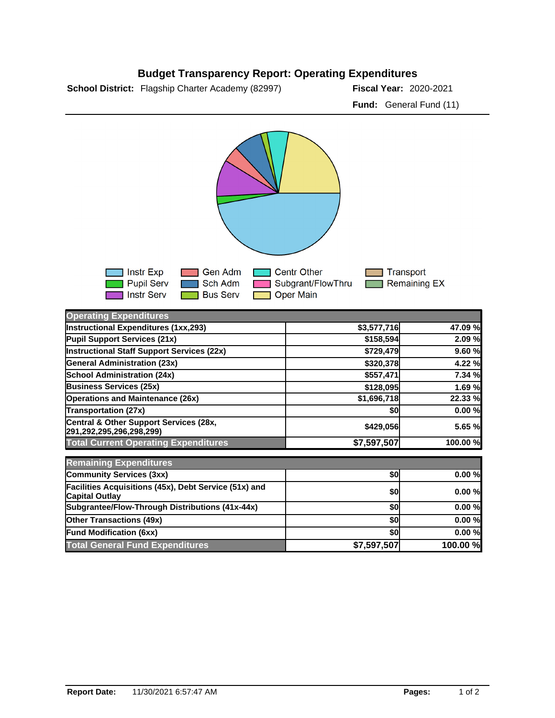## **Budget Transparency Report: Operating Expenditures**

**School District:** Flagship Charter Academy (82997) **Fiscal Year:** 2020-2021

**Fund:** General Fund (11)



| <b>Operating Expenditures</b>                                                  |             |          |
|--------------------------------------------------------------------------------|-------------|----------|
| <b>Instructional Expenditures (1xx,293)</b>                                    | \$3,577,716 | 47.09 %  |
| Pupil Support Services (21x)                                                   | \$158,594   | 2.09 %   |
| <b>Instructional Staff Support Services (22x)</b>                              | \$729,479   | 9.60%    |
| <b>General Administration (23x)</b>                                            | \$320,378   | 4.22 %   |
| <b>School Administration (24x)</b>                                             | \$557,471   | 7.34 %   |
| <b>Business Services (25x)</b>                                                 | \$128,095   | 1.69 %   |
| <b>Operations and Maintenance (26x)</b>                                        | \$1,696,718 | 22.33 %  |
| <b>Transportation (27x)</b>                                                    | \$0         | 0.00%    |
| Central & Other Support Services (28x,<br>291,292,295,296,298,299)             | \$429,056   | 5.65 %   |
| <b>Total Current Operating Expenditures</b>                                    | \$7,597,507 | 100.00 % |
| <b>Remaining Expenditures</b>                                                  |             |          |
| <b>Community Services (3xx)</b>                                                | \$0         | 0.00%    |
| Facilities Acquisitions (45x), Debt Service (51x) and<br><b>Capital Outlay</b> | \$0         | 0.00%    |
| Subgrantee/Flow-Through Distributions (41x-44x)                                | \$0         | 0.00%    |
| <b>Other Transactions (49x)</b>                                                | \$0         | 0.00%    |
| <b>Fund Modification (6xx)</b>                                                 | \$0         | 0.00%    |
| <b>Total General Fund Expenditures</b>                                         | \$7,597,507 | 100.00 % |